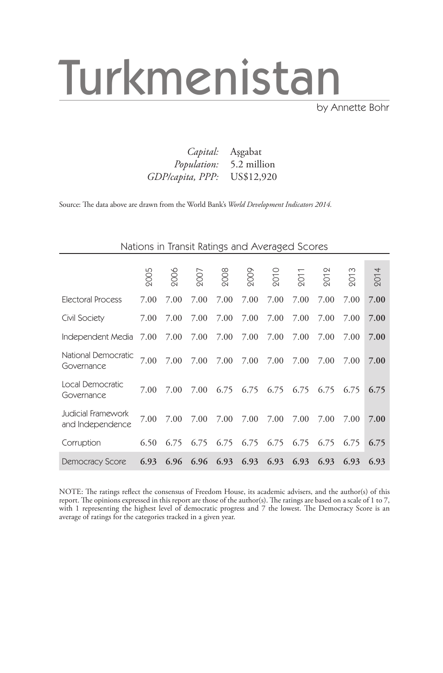# Turkmenistan

by Annette Bohr

|                             | <i>Capital:</i> Asgabat        |
|-----------------------------|--------------------------------|
|                             | <i>Population:</i> 5.2 million |
| GDP/capita, PPP: US\$12,920 |                                |

Source: The data above are drawn from the World Bank's *World Development Indicators 2014.*

| Nations in Transit Ratings and Averaged Scores |  |  |  |
|------------------------------------------------|--|--|--|
|                                                |  |  |  |

|                                        | 2005 | 2006 | 2007 | 2008 | 2009 | <b>2010</b> | 201  | 201  | 201  | 2014 |
|----------------------------------------|------|------|------|------|------|-------------|------|------|------|------|
| Electoral Process                      | 7.00 | 7.00 | 7.00 | 7.00 | 7.00 | 7.00        | 7.00 | 7.00 | 7.00 | 7.00 |
| Civil Society                          | 7.00 | 7.00 | 7.00 | 7.00 | 7.00 | 7.00        | 7.00 | 7.00 | 7.00 | 7.00 |
| Independent Media                      | 7.00 | 7.00 | 7.00 | 7.00 | 7.00 | 7.00        | 7.00 | 7.00 | 7.00 | 7.00 |
| National Democratic<br>Governance      | 7.00 | 7.00 | 7.00 | 7.00 | 7.00 | 7.00        | 7.00 | 7.00 | 7.00 | 7.00 |
| Local Democratic<br>Governance         | 7.00 | 7.00 | 7.00 | 6.75 | 6.75 | 6.75        | 6.75 | 6.75 | 6.75 | 6.75 |
| Judicial Framework<br>and Independence | 7.00 | 7.00 | 7.00 | 7.00 | 7.00 | 7.00        | 7.00 | 7.00 | 7.00 | 7.00 |
| Corruption                             | 6.50 | 6.75 | 6.75 | 6.75 | 6.75 | 6.75        | 6.75 | 6.75 | 6.75 | 6.75 |
| <b>Democracy Score</b>                 | 6.93 | 6.96 | 6.96 | 6.93 | 6.93 | 6.93        | 6.93 | 6.93 | 6.93 | 6.93 |

NOTE: The ratings reflect the consensus of Freedom House, its academic advisers, and the author(s) of this report. The opinions expressed in this report are those of the author(s). The ratings are based on a scale of 1 to 7, with 1 representing the highest level of democratic progress and 7 the lowest. The Democracy Score is an average of ratings for the categories tracked in a given year.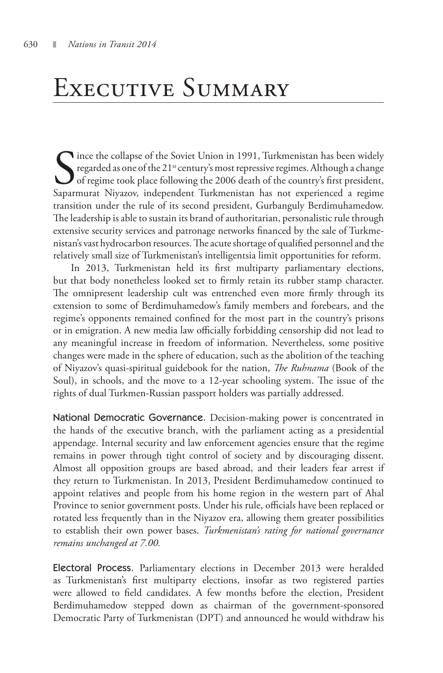### Executive Summary

Since the collapse of the Soviet Union in 1991, Turkmenistan has been widely regarded as one of the 21<sup>st</sup> century's most repressive regimes. Although a change of regime took place following the 2006 death of the country's regarded as one of the  $21<sup>st</sup>$  century's most repressive regimes. Although a change of regime took place following the 2006 death of the country's first president, Saparmurat Niyazov, independent Turkmenistan has not experienced a regime transition under the rule of its second president, Gurbanguly Berdimuhamedow. The leadership is able to sustain its brand of authoritarian, personalistic rule through extensive security services and patronage networks financed by the sale of Turkmenistan's vast hydrocarbon resources. The acute shortage of qualified personnel and the relatively small size of Turkmenistan's intelligentsia limit opportunities for reform.

In 2013, Turkmenistan held its first multiparty parliamentary elections, but that body nonetheless looked set to firmly retain its rubber stamp character. The omnipresent leadership cult was entrenched even more firmly through its extension to some of Berdimuhamedow's family members and forebears, and the regime's opponents remained confined for the most part in the country's prisons or in emigration. A new media law officially forbidding censorship did not lead to any meaningful increase in freedom of information. Nevertheless, some positive changes were made in the sphere of education, such as the abolition of the teaching of Niyazov's quasi-spiritual guidebook for the nation, *The Ruhnama* (Book of the Soul), in schools, and the move to a 12-year schooling system. The issue of the rights of dual Turkmen-Russian passport holders was partially addressed.

National Democratic Governance. Decision-making power is concentrated in the hands of the executive branch, with the parliament acting as a presidential appendage. Internal security and law enforcement agencies ensure that the regime remains in power through tight control of society and by discouraging dissent. Almost all opposition groups are based abroad, and their leaders fear arrest if they return to Turkmenistan. In 2013, President Berdimuhamedow continued to appoint relatives and people from his home region in the western part of Ahal Province to senior government posts. Under his rule, officials have been replaced or rotated less frequently than in the Niyazov era, allowing them greater possibilities to establish their own power bases. *Turkmenistan's rating for national governance remains unchanged at 7.00.* 

Electoral Process. Parliamentary elections in December 2013 were heralded as Turkmenistan's first multiparty elections, insofar as two registered parties were allowed to field candidates. A few months before the election, President Berdimuhamedow stepped down as chairman of the government-sponsored Democratic Party of Turkmenistan (DPT) and announced he would withdraw his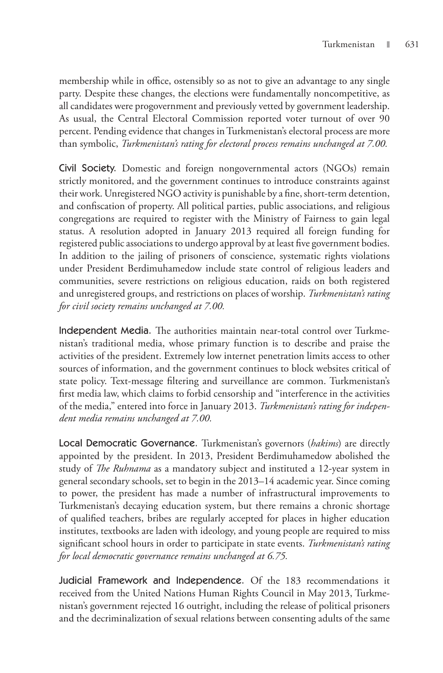membership while in office, ostensibly so as not to give an advantage to any single party. Despite these changes, the elections were fundamentally noncompetitive, as all candidates were progovernment and previously vetted by government leadership. As usual, the Central Electoral Commission reported voter turnout of over 90 percent. Pending evidence that changes in Turkmenistan's electoral process are more than symbolic, *Turkmenistan's rating for electoral process remains unchanged at 7.00.*

Civil Society. Domestic and foreign nongovernmental actors (NGOs) remain strictly monitored, and the government continues to introduce constraints against their work. Unregistered NGO activity is punishable by a fine, short-term detention, and confiscation of property. All political parties, public associations, and religious congregations are required to register with the Ministry of Fairness to gain legal status. A resolution adopted in January 2013 required all foreign funding for registered public associations to undergo approval by at least five government bodies. In addition to the jailing of prisoners of conscience, systematic rights violations under President Berdimuhamedow include state control of religious leaders and communities, severe restrictions on religious education, raids on both registered and unregistered groups, and restrictions on places of worship. *Turkmenistan's rating for civil society remains unchanged at 7.00.*

Independent Media. The authorities maintain near-total control over Turkmenistan's traditional media, whose primary function is to describe and praise the activities of the president. Extremely low internet penetration limits access to other sources of information, and the government continues to block websites critical of state policy. Text-message filtering and surveillance are common. Turkmenistan's first media law, which claims to forbid censorship and "interference in the activities of the media," entered into force in January 2013. *Turkmenistan's rating for independent media remains unchanged at 7.00.*

Local Democratic Governance. Turkmenistan's governors (*hakims*) are directly appointed by the president. In 2013, President Berdimuhamedow abolished the study of *The Ruhnama* as a mandatory subject and instituted a 12-year system in general secondary schools, set to begin in the 2013–14 academic year. Since coming to power, the president has made a number of infrastructural improvements to Turkmenistan's decaying education system, but there remains a chronic shortage of qualified teachers, bribes are regularly accepted for places in higher education institutes, textbooks are laden with ideology, and young people are required to miss significant school hours in order to participate in state events. *Turkmenistan's rating for local democratic governance remains unchanged at 6.75.* 

Judicial Framework and Independence. Of the 183 recommendations it received from the United Nations Human Rights Council in May 2013, Turkmenistan's government rejected 16 outright, including the release of political prisoners and the decriminalization of sexual relations between consenting adults of the same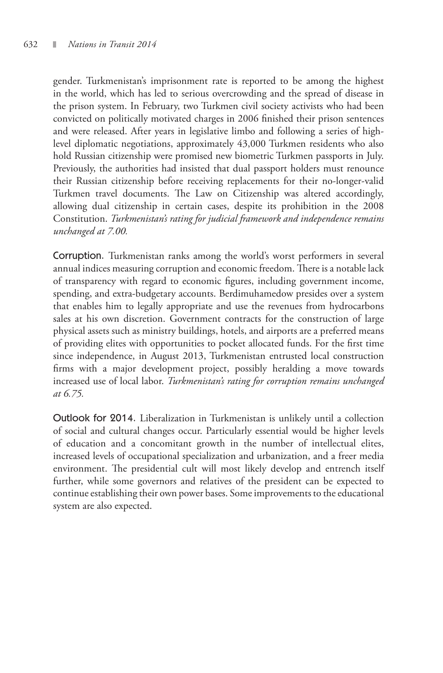gender. Turkmenistan's imprisonment rate is reported to be among the highest in the world, which has led to serious overcrowding and the spread of disease in the prison system. In February, two Turkmen civil society activists who had been convicted on politically motivated charges in 2006 finished their prison sentences and were released. After years in legislative limbo and following a series of highlevel diplomatic negotiations, approximately 43,000 Turkmen residents who also hold Russian citizenship were promised new biometric Turkmen passports in July. Previously, the authorities had insisted that dual passport holders must renounce their Russian citizenship before receiving replacements for their no-longer-valid Turkmen travel documents. The Law on Citizenship was altered accordingly, allowing dual citizenship in certain cases, despite its prohibition in the 2008 Constitution. *Turkmenistan's rating for judicial framework and independence remains unchanged at 7.00.* 

Corruption. Turkmenistan ranks among the world's worst performers in several annual indices measuring corruption and economic freedom. There is a notable lack of transparency with regard to economic figures, including government income, spending, and extra-budgetary accounts. Berdimuhamedow presides over a system that enables him to legally appropriate and use the revenues from hydrocarbons sales at his own discretion. Government contracts for the construction of large physical assets such as ministry buildings, hotels, and airports are a preferred means of providing elites with opportunities to pocket allocated funds. For the first time since independence, in August 2013, Turkmenistan entrusted local construction firms with a major development project, possibly heralding a move towards increased use of local labor. *Turkmenistan's rating for corruption remains unchanged at 6.75.*

Outlook for 2014. Liberalization in Turkmenistan is unlikely until a collection of social and cultural changes occur. Particularly essential would be higher levels of education and a concomitant growth in the number of intellectual elites, increased levels of occupational specialization and urbanization, and a freer media environment. The presidential cult will most likely develop and entrench itself further, while some governors and relatives of the president can be expected to continue establishing their own power bases. Some improvements to the educational system are also expected.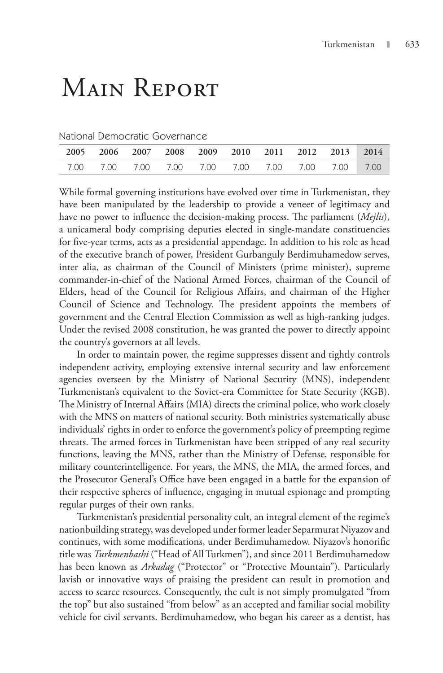## Main Report

#### National Democratic Governance

| 2005 2006 2007 2008 2009 2010 2011 2012 2013 2014 |  |  |  |  |  |
|---------------------------------------------------|--|--|--|--|--|
|                                                   |  |  |  |  |  |

While formal governing institutions have evolved over time in Turkmenistan, they have been manipulated by the leadership to provide a veneer of legitimacy and have no power to influence the decision-making process. The parliament (*Mejlis*), a unicameral body comprising deputies elected in single-mandate constituencies for five-year terms, acts as a presidential appendage. In addition to his role as head of the executive branch of power, President Gurbanguly Berdimuhamedow serves, inter alia, as chairman of the Council of Ministers (prime minister), supreme commander-in-chief of the National Armed Forces, chairman of the Council of Elders, head of the Council for Religious Affairs, and chairman of the Higher Council of Science and Technology. The president appoints the members of government and the Central Election Commission as well as high-ranking judges. Under the revised 2008 constitution, he was granted the power to directly appoint the country's governors at all levels.

In order to maintain power, the regime suppresses dissent and tightly controls independent activity, employing extensive internal security and law enforcement agencies overseen by the Ministry of National Security (MNS), independent Turkmenistan's equivalent to the Soviet-era Committee for State Security (KGB). The Ministry of Internal Affairs (MIA) directs the criminal police, who work closely with the MNS on matters of national security. Both ministries systematically abuse individuals' rights in order to enforce the government's policy of preempting regime threats. The armed forces in Turkmenistan have been stripped of any real security functions, leaving the MNS, rather than the Ministry of Defense, responsible for military counterintelligence. For years, the MNS, the MIA, the armed forces, and the Prosecutor General's Office have been engaged in a battle for the expansion of their respective spheres of influence, engaging in mutual espionage and prompting regular purges of their own ranks.

Turkmenistan's presidential personality cult, an integral element of the regime's nationbuilding strategy, was developed under former leader Separmurat Niyazov and continues, with some modifications, under Berdimuhamedow. Niyazov's honorific title was *Turkmenbashi* ("Head of All Turkmen"), and since 2011 Berdimuhamedow has been known as *Arkadag* ("Protector" or "Protective Mountain"). Particularly lavish or innovative ways of praising the president can result in promotion and access to scarce resources. Consequently, the cult is not simply promulgated "from the top" but also sustained "from below" as an accepted and familiar social mobility vehicle for civil servants. Berdimuhamedow, who began his career as a dentist, has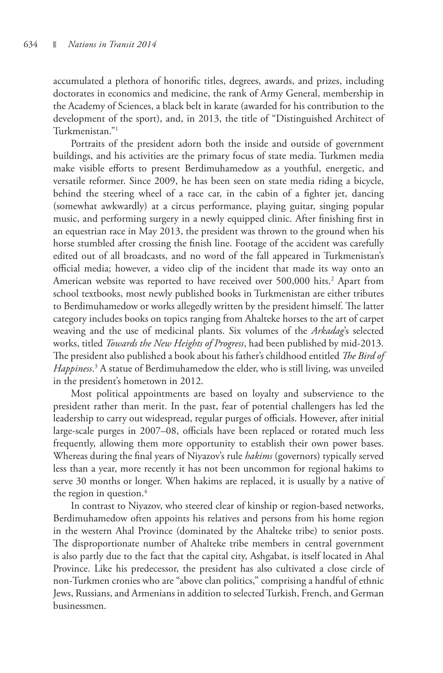accumulated a plethora of honorific titles, degrees, awards, and prizes, including doctorates in economics and medicine, the rank of Army General, membership in the Academy of Sciences, a black belt in karate (awarded for his contribution to the development of the sport), and, in 2013, the title of "Distinguished Architect of Turkmenistan."1

Portraits of the president adorn both the inside and outside of government buildings, and his activities are the primary focus of state media. Turkmen media make visible efforts to present Berdimuhamedow as a youthful, energetic, and versatile reformer. Since 2009, he has been seen on state media riding a bicycle, behind the steering wheel of a race car, in the cabin of a fighter jet, dancing (somewhat awkwardly) at a circus performance, playing guitar, singing popular music, and performing surgery in a newly equipped clinic. After finishing first in an equestrian race in May 2013, the president was thrown to the ground when his horse stumbled after crossing the finish line. Footage of the accident was carefully edited out of all broadcasts, and no word of the fall appeared in Turkmenistan's official media; however, a video clip of the incident that made its way onto an American website was reported to have received over 500,000 hits.<sup>2</sup> Apart from school textbooks, most newly published books in Turkmenistan are either tributes to Berdimuhamedow or works allegedly written by the president himself. The latter category includes books on topics ranging from Ahalteke horses to the art of carpet weaving and the use of medicinal plants. Six volumes of the *Arkadag*'s selected works, titled *Towards the New Heights of Progress*, had been published by mid-2013. The president also published a book about his father's childhood entitled *The Bird of Happiness*. 3 A statue of Berdimuhamedow the elder, who is still living, was unveiled in the president's hometown in 2012.

Most political appointments are based on loyalty and subservience to the president rather than merit. In the past, fear of potential challengers has led the leadership to carry out widespread, regular purges of officials. However, after initial large-scale purges in 2007–08, officials have been replaced or rotated much less frequently, allowing them more opportunity to establish their own power bases. Whereas during the final years of Niyazov's rule *hakims* (governors) typically served less than a year, more recently it has not been uncommon for regional hakims to serve 30 months or longer. When hakims are replaced, it is usually by a native of the region in question. $4$ 

In contrast to Niyazov, who steered clear of kinship or region-based networks, Berdimuhamedow often appoints his relatives and persons from his home region in the western Ahal Province (dominated by the Ahalteke tribe) to senior posts. The disproportionate number of Ahalteke tribe members in central government is also partly due to the fact that the capital city, Ashgabat, is itself located in Ahal Province. Like his predecessor, the president has also cultivated a close circle of non-Turkmen cronies who are "above clan politics," comprising a handful of ethnic Jews, Russians, and Armenians in addition to selected Turkish, French, and German businessmen.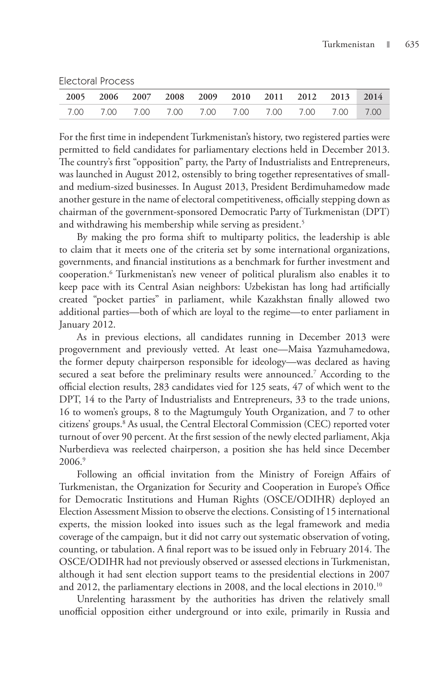Electoral Process

|  | 2005 2006 2007 2008 2009 2010 2011 2012 2013 2014 |  |  |  |  |
|--|---------------------------------------------------|--|--|--|--|
|  |                                                   |  |  |  |  |

For the first time in independent Turkmenistan's history, two registered parties were permitted to field candidates for parliamentary elections held in December 2013. The country's first "opposition" party, the Party of Industrialists and Entrepreneurs, was launched in August 2012, ostensibly to bring together representatives of smalland medium-sized businesses. In August 2013, President Berdimuhamedow made another gesture in the name of electoral competitiveness, officially stepping down as chairman of the government-sponsored Democratic Party of Turkmenistan (DPT) and withdrawing his membership while serving as president.<sup>5</sup>

By making the pro forma shift to multiparty politics, the leadership is able to claim that it meets one of the criteria set by some international organizations, governments, and financial institutions as a benchmark for further investment and cooperation.6 Turkmenistan's new veneer of political pluralism also enables it to keep pace with its Central Asian neighbors: Uzbekistan has long had artificially created "pocket parties" in parliament, while Kazakhstan finally allowed two additional parties—both of which are loyal to the regime—to enter parliament in January 2012.

As in previous elections, all candidates running in December 2013 were progovernment and previously vetted. At least one—Maisa Yazmuhamedowa, the former deputy chairperson responsible for ideology—was declared as having secured a seat before the preliminary results were announced.7 According to the official election results, 283 candidates vied for 125 seats, 47 of which went to the DPT, 14 to the Party of Industrialists and Entrepreneurs, 33 to the trade unions, 16 to women's groups, 8 to the Magtumguly Youth Organization, and 7 to other citizens' groups.8 As usual, the Central Electoral Commission (CEC) reported voter turnout of over 90 percent. At the first session of the newly elected parliament, Akja Nurberdieva was reelected chairperson, a position she has held since December 2006.9

Following an official invitation from the Ministry of Foreign Affairs of Turkmenistan, the Organization for Security and Cooperation in Europe's Office for Democratic Institutions and Human Rights (OSCE/ODIHR) deployed an Election Assessment Mission to observe the elections. Consisting of 15 international experts, the mission looked into issues such as the legal framework and media coverage of the campaign, but it did not carry out systematic observation of voting, counting, or tabulation. A final report was to be issued only in February 2014. The OSCE/ODIHR had not previously observed or assessed elections in Turkmenistan, although it had sent election support teams to the presidential elections in 2007 and 2012, the parliamentary elections in 2008, and the local elections in 2010.10

Unrelenting harassment by the authorities has driven the relatively small unofficial opposition either underground or into exile, primarily in Russia and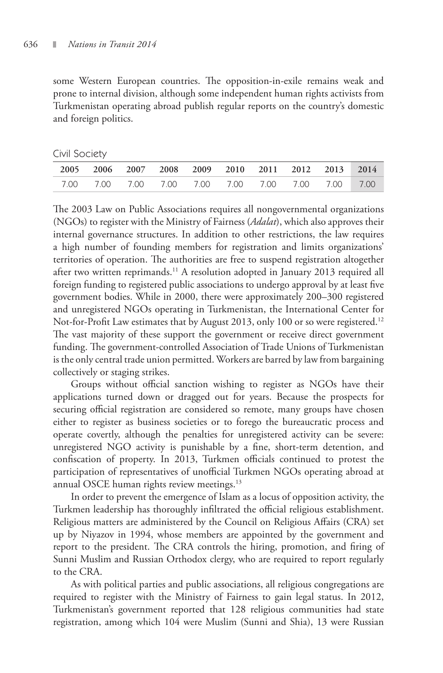some Western European countries. The opposition-in-exile remains weak and prone to internal division, although some independent human rights activists from Turkmenistan operating abroad publish regular reports on the country's domestic and foreign politics.

Civil Society

|  |  |  | 2005 2006 2007 2008 2009 2010 2011 2012 2013 2014 |  |
|--|--|--|---------------------------------------------------|--|
|  |  |  |                                                   |  |

The 2003 Law on Public Associations requires all nongovernmental organizations (NGOs) to register with the Ministry of Fairness (*Adalat*), which also approves their internal governance structures. In addition to other restrictions, the law requires a high number of founding members for registration and limits organizations' territories of operation. The authorities are free to suspend registration altogether after two written reprimands.<sup>11</sup> A resolution adopted in January 2013 required all foreign funding to registered public associations to undergo approval by at least five government bodies. While in 2000, there were approximately 200–300 registered and unregistered NGOs operating in Turkmenistan, the International Center for Not-for-Profit Law estimates that by August 2013, only 100 or so were registered.<sup>12</sup> The vast majority of these support the government or receive direct government funding. The government-controlled Association of Trade Unions of Turkmenistan is the only central trade union permitted. Workers are barred by law from bargaining collectively or staging strikes.

Groups without official sanction wishing to register as NGOs have their applications turned down or dragged out for years. Because the prospects for securing official registration are considered so remote, many groups have chosen either to register as business societies or to forego the bureaucratic process and operate covertly, although the penalties for unregistered activity can be severe: unregistered NGO activity is punishable by a fine, short-term detention, and confiscation of property. In 2013, Turkmen officials continued to protest the participation of representatives of unofficial Turkmen NGOs operating abroad at annual OSCE human rights review meetings.<sup>13</sup>

In order to prevent the emergence of Islam as a locus of opposition activity, the Turkmen leadership has thoroughly infiltrated the official religious establishment. Religious matters are administered by the Council on Religious Affairs (CRA) set up by Niyazov in 1994, whose members are appointed by the government and report to the president. The CRA controls the hiring, promotion, and firing of Sunni Muslim and Russian Orthodox clergy, who are required to report regularly to the CRA.

As with political parties and public associations, all religious congregations are required to register with the Ministry of Fairness to gain legal status. In 2012, Turkmenistan's government reported that 128 religious communities had state registration, among which 104 were Muslim (Sunni and Shia), 13 were Russian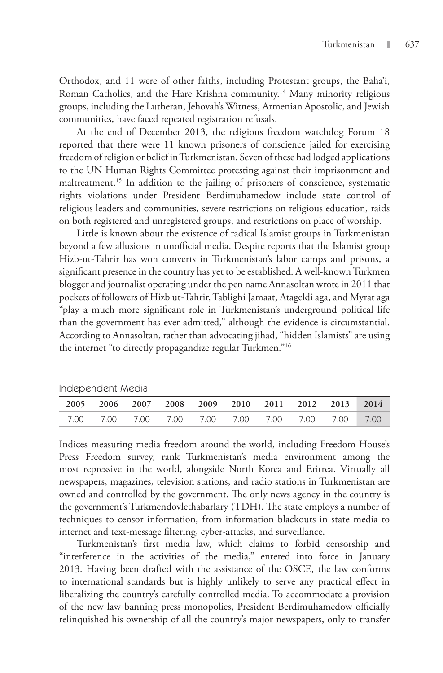Orthodox, and 11 were of other faiths, including Protestant groups, the Baha'i, Roman Catholics, and the Hare Krishna community.<sup>14</sup> Many minority religious groups, including the Lutheran, Jehovah's Witness, Armenian Apostolic, and Jewish communities, have faced repeated registration refusals.

At the end of December 2013, the religious freedom watchdog Forum 18 reported that there were 11 known prisoners of conscience jailed for exercising freedom of religion or belief in Turkmenistan. Seven of these had lodged applications to the UN Human Rights Committee protesting against their imprisonment and maltreatment.<sup>15</sup> In addition to the jailing of prisoners of conscience, systematic rights violations under President Berdimuhamedow include state control of religious leaders and communities, severe restrictions on religious education, raids on both registered and unregistered groups, and restrictions on place of worship.

Little is known about the existence of radical Islamist groups in Turkmenistan beyond a few allusions in unofficial media. Despite reports that the Islamist group Hizb-ut-Tahrir has won converts in Turkmenistan's labor camps and prisons, a significant presence in the country has yet to be established. A well-known Turkmen blogger and journalist operating under the pen name Annasoltan wrote in 2011 that pockets of followers of Hizb ut-Tahrir, Tablighi Jamaat, Atageldi aga, and Myrat aga "play a much more significant role in Turkmenistan's underground political life than the government has ever admitted," although the evidence is circumstantial. According to Annasoltan, rather than advocating jihad, "hidden Islamists" are using the internet "to directly propagandize regular Turkmen."16

|  |  | 2005 2006 2007 2008 2009 2010 2011 2012 2013 2014 |  |  |  |
|--|--|---------------------------------------------------|--|--|--|
|  |  |                                                   |  |  |  |

Independent Media

Indices measuring media freedom around the world, including Freedom House's Press Freedom survey, rank Turkmenistan's media environment among the most repressive in the world, alongside North Korea and Eritrea. Virtually all newspapers, magazines, television stations, and radio stations in Turkmenistan are owned and controlled by the government. The only news agency in the country is the government's Turkmendovlethabarlary (TDH). The state employs a number of techniques to censor information, from information blackouts in state media to internet and text-message filtering, cyber-attacks, and surveillance.

Turkmenistan's first media law, which claims to forbid censorship and "interference in the activities of the media," entered into force in January 2013. Having been drafted with the assistance of the OSCE, the law conforms to international standards but is highly unlikely to serve any practical effect in liberalizing the country's carefully controlled media. To accommodate a provision of the new law banning press monopolies, President Berdimuhamedow officially relinquished his ownership of all the country's major newspapers, only to transfer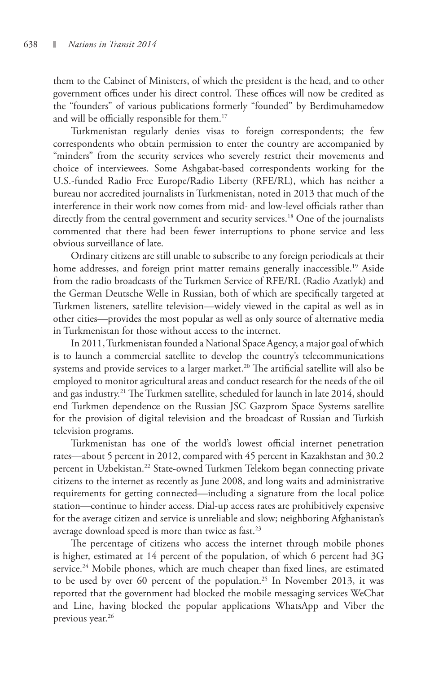them to the Cabinet of Ministers, of which the president is the head, and to other government offices under his direct control. These offices will now be credited as the "founders" of various publications formerly "founded" by Berdimuhamedow and will be officially responsible for them.17

Turkmenistan regularly denies visas to foreign correspondents; the few correspondents who obtain permission to enter the country are accompanied by "minders" from the security services who severely restrict their movements and choice of interviewees. Some Ashgabat-based correspondents working for the U.S.-funded Radio Free Europe/Radio Liberty (RFE/RL), which has neither a bureau nor accredited journalists in Turkmenistan, noted in 2013 that much of the interference in their work now comes from mid- and low-level officials rather than directly from the central government and security services.<sup>18</sup> One of the journalists commented that there had been fewer interruptions to phone service and less obvious surveillance of late.

Ordinary citizens are still unable to subscribe to any foreign periodicals at their home addresses, and foreign print matter remains generally inaccessible.<sup>19</sup> Aside from the radio broadcasts of the Turkmen Service of RFE/RL (Radio Azatlyk) and the German Deutsche Welle in Russian, both of which are specifically targeted at Turkmen listeners, satellite television—widely viewed in the capital as well as in other cities—provides the most popular as well as only source of alternative media in Turkmenistan for those without access to the internet.

In 2011, Turkmenistan founded a National Space Agency, a major goal of which is to launch a commercial satellite to develop the country's telecommunications systems and provide services to a larger market.<sup>20</sup> The artificial satellite will also be employed to monitor agricultural areas and conduct research for the needs of the oil and gas industry.<sup>21</sup> The Turkmen satellite, scheduled for launch in late 2014, should end Turkmen dependence on the Russian JSC Gazprom Space Systems satellite for the provision of digital television and the broadcast of Russian and Turkish television programs.

Turkmenistan has one of the world's lowest official internet penetration rates—about 5 percent in 2012, compared with 45 percent in Kazakhstan and 30.2 percent in Uzbekistan.<sup>22</sup> State-owned Turkmen Telekom began connecting private citizens to the internet as recently as June 2008, and long waits and administrative requirements for getting connected—including a signature from the local police station—continue to hinder access. Dial-up access rates are prohibitively expensive for the average citizen and service is unreliable and slow; neighboring Afghanistan's average download speed is more than twice as fast.<sup>23</sup>

The percentage of citizens who access the internet through mobile phones is higher, estimated at 14 percent of the population, of which 6 percent had 3G service.<sup>24</sup> Mobile phones, which are much cheaper than fixed lines, are estimated to be used by over 60 percent of the population.<sup>25</sup> In November 2013, it was reported that the government had blocked the mobile messaging services WeChat and Line, having blocked the popular applications WhatsApp and Viber the previous year.<sup>26</sup>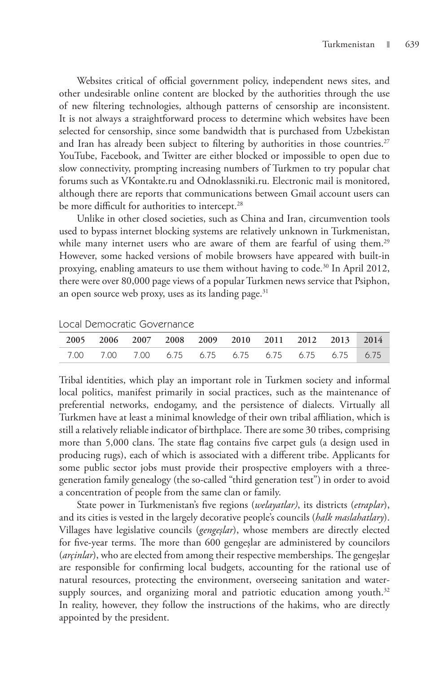Websites critical of official government policy, independent news sites, and other undesirable online content are blocked by the authorities through the use of new filtering technologies, although patterns of censorship are inconsistent. It is not always a straightforward process to determine which websites have been selected for censorship, since some bandwidth that is purchased from Uzbekistan and Iran has already been subject to filtering by authorities in those countries.<sup>27</sup> YouTube, Facebook, and Twitter are either blocked or impossible to open due to slow connectivity, prompting increasing numbers of Turkmen to try popular chat forums such as VKontakte.ru and Odnoklassniki.ru. Electronic mail is monitored, although there are reports that communications between Gmail account users can be more difficult for authorities to intercept.<sup>28</sup>

Unlike in other closed societies, such as China and Iran, circumvention tools used to bypass internet blocking systems are relatively unknown in Turkmenistan, while many internet users who are aware of them are fearful of using them.<sup>29</sup> However, some hacked versions of mobile browsers have appeared with built-in proxying, enabling amateurs to use them without having to code.<sup>30</sup> In April 2012, there were over 80,000 page views of a popular Turkmen news service that Psiphon, an open source web proxy, uses as its landing page.<sup>31</sup>

|                                                   |  |  |  | 2005 2006 2007 2008 2009 2010 2011 2012 2013 2014 |  |
|---------------------------------------------------|--|--|--|---------------------------------------------------|--|
| 7.00 7.00 7.00 6.75 6.75 6.75 6.75 6.75 6.75 6.75 |  |  |  |                                                   |  |

Local Democratic Governance

Tribal identities, which play an important role in Turkmen society and informal local politics, manifest primarily in social practices, such as the maintenance of preferential networks, endogamy, and the persistence of dialects. Virtually all Turkmen have at least a minimal knowledge of their own tribal affiliation, which is still a relatively reliable indicator of birthplace. There are some 30 tribes, comprising more than 5,000 clans. The state flag contains five carpet guls (a design used in producing rugs), each of which is associated with a different tribe. Applicants for some public sector jobs must provide their prospective employers with a threegeneration family genealogy (the so-called "third generation test") in order to avoid a concentration of people from the same clan or family.

State power in Turkmenistan's five regions (*welayatlar)*, its districts (*etraplar*), and its cities is vested in the largely decorative people's councils (*halk maslahatlary*). Villages have legislative councils (*gengeşlar*), whose members are directly elected for five-year terms. The more than 600 gengeşlar are administered by councilors (*arçinlar*), who are elected from among their respective memberships. The gengeşlar are responsible for confirming local budgets, accounting for the rational use of natural resources, protecting the environment, overseeing sanitation and watersupply sources, and organizing moral and patriotic education among youth. $32$ In reality, however, they follow the instructions of the hakims, who are directly appointed by the president.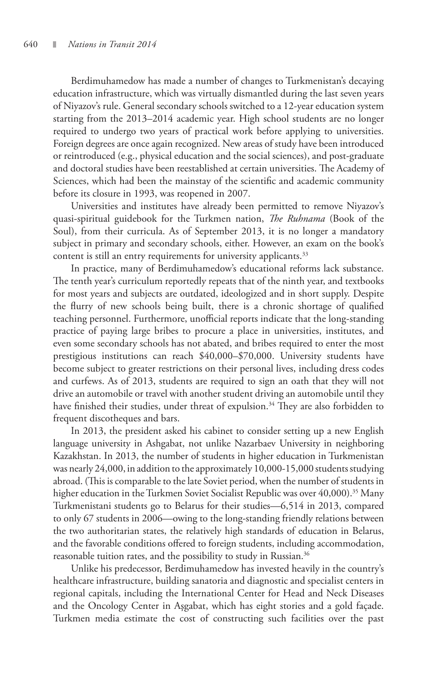Berdimuhamedow has made a number of changes to Turkmenistan's decaying education infrastructure, which was virtually dismantled during the last seven years of Niyazov's rule. General secondary schools switched to a 12-year education system starting from the 2013–2014 academic year. High school students are no longer required to undergo two years of practical work before applying to universities. Foreign degrees are once again recognized. New areas of study have been introduced or reintroduced (e.g., physical education and the social sciences), and post-graduate and doctoral studies have been reestablished at certain universities. The Academy of Sciences, which had been the mainstay of the scientific and academic community before its closure in 1993, was reopened in 2007.

Universities and institutes have already been permitted to remove Niyazov's quasi-spiritual guidebook for the Turkmen nation, *The Ruhnama* (Book of the Soul), from their curricula. As of September 2013, it is no longer a mandatory subject in primary and secondary schools, either. However, an exam on the book's content is still an entry requirements for university applicants.<sup>33</sup>

In practice, many of Berdimuhamedow's educational reforms lack substance. The tenth year's curriculum reportedly repeats that of the ninth year, and textbooks for most years and subjects are outdated, ideologized and in short supply. Despite the flurry of new schools being built, there is a chronic shortage of qualified teaching personnel. Furthermore, unofficial reports indicate that the long-standing practice of paying large bribes to procure a place in universities, institutes, and even some secondary schools has not abated, and bribes required to enter the most prestigious institutions can reach \$40,000–\$70,000. University students have become subject to greater restrictions on their personal lives, including dress codes and curfews. As of 2013, students are required to sign an oath that they will not drive an automobile or travel with another student driving an automobile until they have finished their studies, under threat of expulsion.<sup>34</sup> They are also forbidden to frequent discotheques and bars.

In 2013, the president asked his cabinet to consider setting up a new English language university in Ashgabat, not unlike Nazarbaev University in neighboring Kazakhstan. In 2013, the number of students in higher education in Turkmenistan was nearly 24,000, in addition to the approximately 10,000-15,000 students studying abroad. (This is comparable to the late Soviet period, when the number of students in higher education in the Turkmen Soviet Socialist Republic was over 40,000).<sup>35</sup> Many Turkmenistani students go to Belarus for their studies—6,514 in 2013, compared to only 67 students in 2006—owing to the long-standing friendly relations between the two authoritarian states, the relatively high standards of education in Belarus, and the favorable conditions offered to foreign students, including accommodation, reasonable tuition rates, and the possibility to study in Russian.<sup>36</sup>

Unlike his predecessor, Berdimuhamedow has invested heavily in the country's healthcare infrastructure, building sanatoria and diagnostic and specialist centers in regional capitals, including the International Center for Head and Neck Diseases and the Oncology Center in Aşgabat, which has eight stories and a gold façade. Turkmen media estimate the cost of constructing such facilities over the past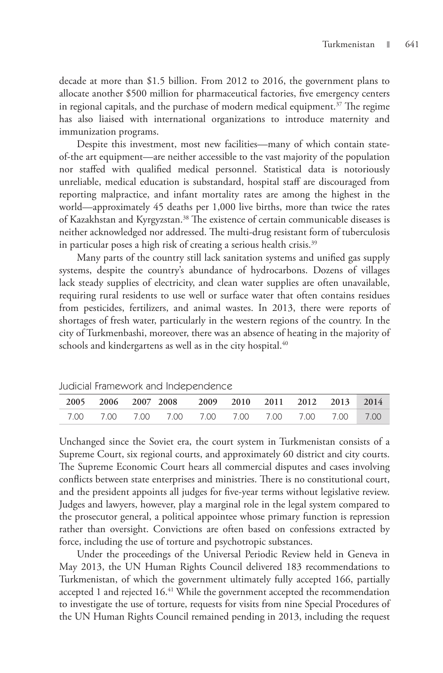decade at more than \$1.5 billion. From 2012 to 2016, the government plans to allocate another \$500 million for pharmaceutical factories, five emergency centers in regional capitals, and the purchase of modern medical equipment.<sup>37</sup> The regime has also liaised with international organizations to introduce maternity and immunization programs.

Despite this investment, most new facilities—many of which contain stateof-the art equipment—are neither accessible to the vast majority of the population nor staffed with qualified medical personnel. Statistical data is notoriously unreliable, medical education is substandard, hospital staff are discouraged from reporting malpractice, and infant mortality rates are among the highest in the world—approximately 45 deaths per 1,000 live births, more than twice the rates of Kazakhstan and Kyrgyzstan.<sup>38</sup> The existence of certain communicable diseases is neither acknowledged nor addressed. The multi-drug resistant form of tuberculosis in particular poses a high risk of creating a serious health crisis.<sup>39</sup>

Many parts of the country still lack sanitation systems and unified gas supply systems, despite the country's abundance of hydrocarbons. Dozens of villages lack steady supplies of electricity, and clean water supplies are often unavailable, requiring rural residents to use well or surface water that often contains residues from pesticides, fertilizers, and animal wastes. In 2013, there were reports of shortages of fresh water, particularly in the western regions of the country. In the city of Turkmenbashi, moreover, there was an absence of heating in the majority of schools and kindergartens as well as in the city hospital.<sup>40</sup>

| <b>CONTROLLIGITION</b> CONTROLLIGE INTERNATIONAL INTERNATIONAL INTERNATIONAL INTERNATIONAL INTERNATIONAL INTERNATIONAL |  |                                                   |  |  |  |  |  |  |  |  |  |
|------------------------------------------------------------------------------------------------------------------------|--|---------------------------------------------------|--|--|--|--|--|--|--|--|--|
|                                                                                                                        |  | 2005 2006 2007 2008 2009 2010 2011 2012 2013 2014 |  |  |  |  |  |  |  |  |  |
|                                                                                                                        |  |                                                   |  |  |  |  |  |  |  |  |  |

Judicial Framework and Independence

Unchanged since the Soviet era, the court system in Turkmenistan consists of a Supreme Court, six regional courts, and approximately 60 district and city courts. The Supreme Economic Court hears all commercial disputes and cases involving conflicts between state enterprises and ministries. There is no constitutional court, and the president appoints all judges for five-year terms without legislative review. Judges and lawyers, however, play a marginal role in the legal system compared to the prosecutor general, a political appointee whose primary function is repression rather than oversight. Convictions are often based on confessions extracted by force, including the use of torture and psychotropic substances.

Under the proceedings of the Universal Periodic Review held in Geneva in May 2013, the UN Human Rights Council delivered 183 recommendations to Turkmenistan, of which the government ultimately fully accepted 166, partially accepted 1 and rejected 16.<sup>41</sup> While the government accepted the recommendation to investigate the use of torture, requests for visits from nine Special Procedures of the UN Human Rights Council remained pending in 2013, including the request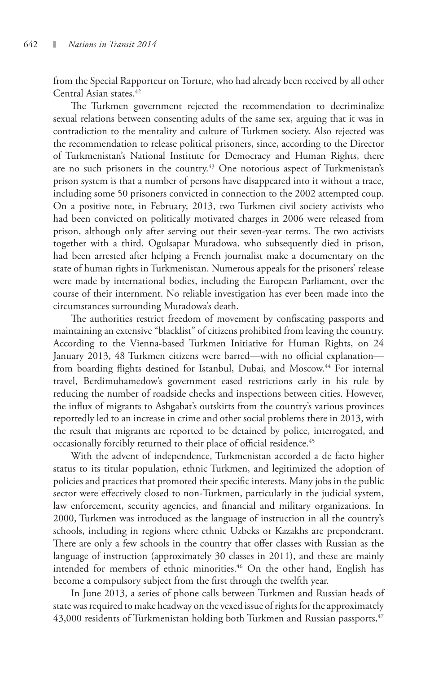from the Special Rapporteur on Torture, who had already been received by all other Central Asian states.<sup>42</sup>

The Turkmen government rejected the recommendation to decriminalize sexual relations between consenting adults of the same sex, arguing that it was in contradiction to the mentality and culture of Turkmen society. Also rejected was the recommendation to release political prisoners, since, according to the Director of Turkmenistan's National Institute for Democracy and Human Rights, there are no such prisoners in the country.<sup>43</sup> One notorious aspect of Turkmenistan's prison system is that a number of persons have disappeared into it without a trace, including some 50 prisoners convicted in connection to the 2002 attempted coup. On a positive note, in February, 2013, two Turkmen civil society activists who had been convicted on politically motivated charges in 2006 were released from prison, although only after serving out their seven-year terms. The two activists together with a third, Ogulsapar Muradowa, who subsequently died in prison, had been arrested after helping a French journalist make a documentary on the state of human rights in Turkmenistan. Numerous appeals for the prisoners' release were made by international bodies, including the European Parliament, over the course of their internment. No reliable investigation has ever been made into the circumstances surrounding Muradowa's death.

The authorities restrict freedom of movement by confiscating passports and maintaining an extensive "blacklist" of citizens prohibited from leaving the country. According to the Vienna-based Turkmen Initiative for Human Rights, on 24 January 2013, 48 Turkmen citizens were barred—with no official explanation from boarding flights destined for Istanbul, Dubai, and Moscow.<sup>44</sup> For internal travel, Berdimuhamedow's government eased restrictions early in his rule by reducing the number of roadside checks and inspections between cities. However, the influx of migrants to Ashgabat's outskirts from the country's various provinces reportedly led to an increase in crime and other social problems there in 2013, with the result that migrants are reported to be detained by police, interrogated, and occasionally forcibly returned to their place of official residence.<sup>45</sup>

With the advent of independence, Turkmenistan accorded a de facto higher status to its titular population, ethnic Turkmen, and legitimized the adoption of policies and practices that promoted their specific interests. Many jobs in the public sector were effectively closed to non-Turkmen, particularly in the judicial system, law enforcement, security agencies, and financial and military organizations. In 2000, Turkmen was introduced as the language of instruction in all the country's schools, including in regions where ethnic Uzbeks or Kazakhs are preponderant. There are only a few schools in the country that offer classes with Russian as the language of instruction (approximately 30 classes in 2011), and these are mainly intended for members of ethnic minorities.<sup>46</sup> On the other hand, English has become a compulsory subject from the first through the twelfth year.

In June 2013, a series of phone calls between Turkmen and Russian heads of state was required to make headway on the vexed issue of rights for the approximately  $43,000$  residents of Turkmenistan holding both Turkmen and Russian passports,  $47$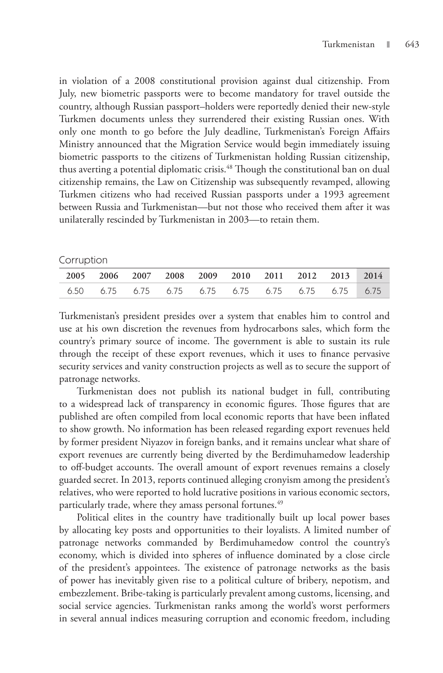in violation of a 2008 constitutional provision against dual citizenship. From July, new biometric passports were to become mandatory for travel outside the country, although Russian passport–holders were reportedly denied their new-style Turkmen documents unless they surrendered their existing Russian ones. With only one month to go before the July deadline, Turkmenistan's Foreign Affairs Ministry announced that the Migration Service would begin immediately issuing biometric passports to the citizens of Turkmenistan holding Russian citizenship, thus averting a potential diplomatic crisis.<sup>48</sup> Though the constitutional ban on dual citizenship remains, the Law on Citizenship was subsequently revamped, allowing Turkmen citizens who had received Russian passports under a 1993 agreement between Russia and Turkmenistan—but not those who received them after it was unilaterally rescinded by Turkmenistan in 2003—to retain them.

#### Corruption

|  |  |  | 2005 2006 2007 2008 2009 2010 2011 2012 2013 2014 |  |
|--|--|--|---------------------------------------------------|--|
|  |  |  |                                                   |  |

Turkmenistan's president presides over a system that enables him to control and use at his own discretion the revenues from hydrocarbons sales, which form the country's primary source of income. The government is able to sustain its rule through the receipt of these export revenues, which it uses to finance pervasive security services and vanity construction projects as well as to secure the support of patronage networks.

Turkmenistan does not publish its national budget in full, contributing to a widespread lack of transparency in economic figures. Those figures that are published are often compiled from local economic reports that have been inflated to show growth. No information has been released regarding export revenues held by former president Niyazov in foreign banks, and it remains unclear what share of export revenues are currently being diverted by the Berdimuhamedow leadership to off-budget accounts. The overall amount of export revenues remains a closely guarded secret. In 2013, reports continued alleging cronyism among the president's relatives, who were reported to hold lucrative positions in various economic sectors, particularly trade, where they amass personal fortunes.<sup>49</sup>

Political elites in the country have traditionally built up local power bases by allocating key posts and opportunities to their loyalists. A limited number of patronage networks commanded by Berdimuhamedow control the country's economy, which is divided into spheres of influence dominated by a close circle of the president's appointees. The existence of patronage networks as the basis of power has inevitably given rise to a political culture of bribery, nepotism, and embezzlement. Bribe-taking is particularly prevalent among customs, licensing, and social service agencies. Turkmenistan ranks among the world's worst performers in several annual indices measuring corruption and economic freedom, including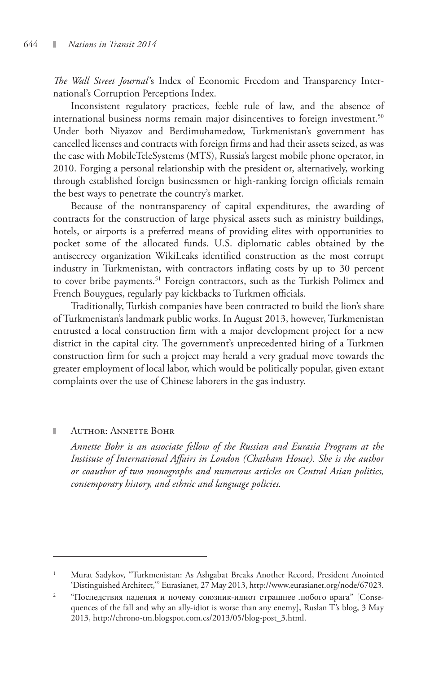*The Wall Street Journal*'s Index of Economic Freedom and Transparency International's Corruption Perceptions Index.

Inconsistent regulatory practices, feeble rule of law, and the absence of international business norms remain major disincentives to foreign investment.<sup>50</sup> Under both Niyazov and Berdimuhamedow, Turkmenistan's government has cancelled licenses and contracts with foreign firms and had their assets seized, as was the case with MobileTeleSystems (MTS), Russia's largest mobile phone operator, in 2010. Forging a personal relationship with the president or, alternatively, working through established foreign businessmen or high-ranking foreign officials remain the best ways to penetrate the country's market.

Because of the nontransparency of capital expenditures, the awarding of contracts for the construction of large physical assets such as ministry buildings, hotels, or airports is a preferred means of providing elites with opportunities to pocket some of the allocated funds. U.S. diplomatic cables obtained by the antisecrecy organization WikiLeaks identified construction as the most corrupt industry in Turkmenistan, with contractors inflating costs by up to 30 percent to cover bribe payments.<sup>51</sup> Foreign contractors, such as the Turkish Polimex and French Bouygues, regularly pay kickbacks to Turkmen officials.

Traditionally, Turkish companies have been contracted to build the lion's share of Turkmenistan's landmark public works. In August 2013, however, Turkmenistan entrusted a local construction firm with a major development project for a new district in the capital city. The government's unprecedented hiring of a Turkmen construction firm for such a project may herald a very gradual move towards the greater employment of local labor, which would be politically popular, given extant complaints over the use of Chinese laborers in the gas industry.

#### Author: Annette Bohr

*Annette Bohr is an associate fellow of the Russian and Eurasia Program at the Institute of International Affairs in London (Chatham House). She is the author or coauthor of two monographs and numerous articles on Central Asian politics, contemporary history, and ethnic and language policies.*

<sup>1</sup> Murat Sadykov, "Turkmenistan: As Ashgabat Breaks Another Record, President Anointed 'Distinguished Architect,'" Eurasianet, 27 May 2013, http://www.eurasianet.org/node/67023.

<sup>2</sup> "Последствия падения и почему союзник-идиот страшнее любого врага" [Consequences of the fall and why an ally-idiot is worse than any enemy], Ruslan T's blog, 3 May 2013, http://chrono-tm.blogspot.com.es/2013/05/blog-post\_3.html.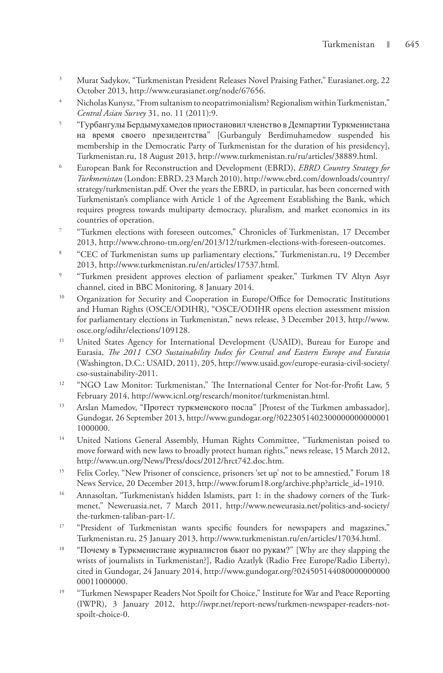- 3 Murat Sadykov, "Turkmenistan President Releases Novel Praising Father," Eurasianet.org, 22 October 2013, http://www.eurasianet.org/node/67656.
- 4 Nicholas Kunysz, "From sultanism to neopatrimonialism? Regionalism within Turkmenistan," *Central Asian Survey* 31, no. 11 (2011):9.
- 5 "Гурбангулы Бердымухамедов приостановил членство в Демпартии Туркменистана на время своего президентства" [Gurbanguly Berdimuhamedow suspended his membership in the Democratic Party of Turkmenistan for the duration of his presidency], Turkmenistan.ru, 18 August 2013, http://www.turkmenistan.ru/ru/articles/38889.html.
- 6 European Bank for Reconstruction and Development (EBRD), *EBRD Country Strategy for Turkmenistan* (London: EBRD, 23 March 2010), http://www.ebrd.com/downloads/country/ strategy/turkmenistan.pdf. Over the years the EBRD, in particular, has been concerned with Turkmenistan's compliance with Article 1 of the Agreement Establishing the Bank, which requires progress towards multiparty democracy, pluralism, and market economics in its countries of operation.
- 7 "Turkmen elections with foreseen outcomes," Chronicles of Turkmenistan, 17 December 2013, http://www.chrono-tm.org/en/2013/12/turkmen-elections-with-foreseen-outcomes.
- 8 "CEC of Turkmenistan sums up parliamentary elections," Turkmenistan.ru, 19 December 2013, http://www.turkmenistan.ru/en/articles/17537.html.
- 9 "Turkmen president approves election of parliament speaker," Turkmen TV Altyn Asyr channel, cited in BBC Monitoring, 8 January 2014.
- <sup>10</sup> Organization for Security and Cooperation in Europe/Office for Democratic Institutions and Human Rights (OSCE/ODIHR), "OSCE/ODIHR opens election assessment mission for parliamentary elections in Turkmenistan," news release, 3 December 2013, http://www. osce.org/odihr/elections/109128.
- <sup>11</sup> United States Agency for International Development (USAID), Bureau for Europe and Eurasia, *The 2011 CSO Sustainability Index for Central and Eastern Europe and Eurasia* (Washington, D.C.: USAID, 2011), 205, http://www.usaid.gov/europe-eurasia-civil-society/ cso-sustainability-2011.
- <sup>12</sup> "NGO Law Monitor: Turkmenistan," The International Center for Not-for-Profit Law, 5 February 2014, http://www.icnl.org/research/monitor/turkmenistan.html.
- <sup>13</sup> Arslan Mamedov, "Протест туркменского посла" [Protest of the Turkmen ambassador], Gundogar, 26 September 2013, http://www.gundogar.org/?0223051402300000000000001 1000000.
- <sup>14</sup> United Nations General Assembly, Human Rights Committee, "Turkmenistan poised to move forward with new laws to broadly protect human rights," news release, 15 March 2012, http://www.un.org/News/Press/docs/2012/hrct742.doc.htm.
- <sup>15</sup> Felix Corley, "New Prisoner of conscience, prisoners 'set up' not to be amnestied," Forum 18 News Service, 20 December 2013, http://www.forum18.org/archive.php?article\_id=1910.
- <sup>16</sup> Annasoltan, "Turkmenistan's hidden Islamists, part 1: in the shadowy corners of the Turkmenet," Neweruasia.net, 7 March 2011, http://www.neweurasia.net/politics-and-society/ the-turkmen-taliban-part-1/.
- <sup>17</sup> "President of Turkmenistan wants specific founders for newspapers and magazines," Turkmenistan.ru, 25 January 2013, http://www.turkmenistan.ru/en/articles/17034.html.
- <sup>18</sup> "Почему в Туркменистане журналистов бьют по рукам?" [Why are they slapping the wrists of journalists in Turkmenistan?], Radio Azatlyk (Radio Free Europe/Radio Liberty), cited in Gundogar, 24 January 2014, http://www.gundogar.org/?024505144080000000000 00011000000.
- <sup>19</sup> "Turkmen Newspaper Readers Not Spoilt for Choice," Institute for War and Peace Reporting (IWPR), 3 January 2012, http://iwpr.net/report-news/turkmen-newspaper-readers-notspoilt-choice-0.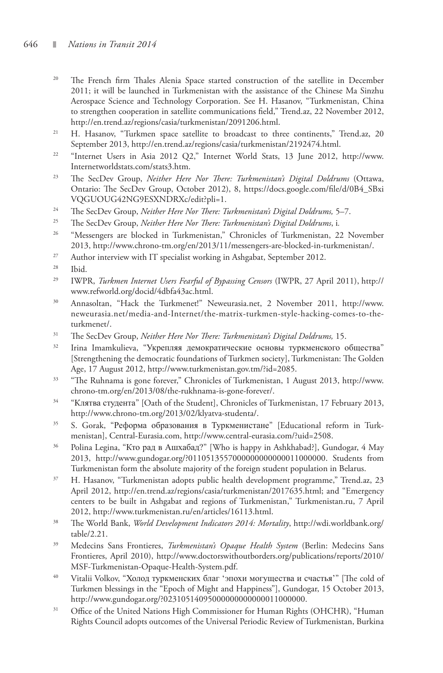- <sup>20</sup> The French firm Thales Alenia Space started construction of the satellite in December 2011; it will be launched in Turkmenistan with the assistance of the Chinese Ma Sinzhu Aerospace Science and Technology Corporation. See H. Hasanov, "Turkmenistan, China to strengthen cooperation in satellite communications field," Trend.az, 22 November 2012, http://en.trend.az/regions/casia/turkmenistan/2091206.html.
- <sup>21</sup> H. Hasanov, "Turkmen space satellite to broadcast to three continents," Trend.az, 20 September 2013, http://en.trend.az/regions/casia/turkmenistan/2192474.html.
- <sup>22</sup> "Internet Users in Asia 2012 Q2," Internet World Stats, 13 June 2012, http://www. Internetworldstats.com/stats3.htm.
- 23 The SecDev Group, *Neither Here Nor There: Turkmenistan's Digital Doldrums* (Ottawa, Ontario: The SecDev Group, October 2012), 8, https://docs.google.com/file/d/0B4\_SBxi VQGUOUG42NG9ESXNDRXc/edit?pli=1.
- 24 The SecDev Group, *Neither Here Nor There: Turkmenistan's Digital Doldrums,* 5–7.
- 25 The SecDev Group, *Neither Here Nor There: Turkmenistan's Digital Doldrums*, i*.*
- <sup>26</sup> "Messengers are blocked in Turkmenistan," Chronicles of Turkmenistan, 22 November 2013, http://www.chrono-tm.org/en/2013/11/messengers-are-blocked-in-turkmenistan/.
- $27$  Author interview with IT specialist working in Ashgabat, September 2012.
- 28 Ibid.
- 29 IWPR, *Turkmen Internet Users Fearful of Bypassing Censors* (IWPR, 27 April 2011), http:// www.refworld.org/docid/4dbfa43ac.html.
- 30 Annasoltan, "Hack the Turkmenet!" Neweurasia.net, 2 November 2011, http://www. neweurasia.net/media-and-Internet/the-matrix-turkmen-style-hacking-comes-to-theturkmenet/.
- 31 The SecDev Group, *Neither Here Nor There: Turkmenistan's Digital Doldrums,* 15.
- <sup>32</sup> Irina Imamkulieva, "Укрепляя демократические основы туркменского общества" [Strengthening the democratic foundations of Turkmen society], Turkmenistan: The Golden Age, 17 August 2012, http://www.turkmenistan.gov.tm/?id=2085.
- 33 "The Ruhnama is gone forever," Chronicles of Turkmenistan, 1 August 2013, http://www. chrono-tm.org/en/2013/08/the-rukhnama-is-gone-forever/.
- <sup>34</sup> "Клятва студента" [Oath of the Student], Chronicles of Turkmenistan, 17 February 2013, http://www.chrono-tm.org/2013/02/klyatva-studenta/.
- <sup>35</sup> S. Gorak, "Реформа образования в Туркменистане" [Educational reform in Turkmenistan], Central-Eurasia.com, http://www.central-eurasia.com/?uid=2508.
- <sup>36</sup> Polina Legina, "Кто рад в Ашхабад?" [Who is happy in Ashkhabad?], Gundogar, 4 May 2013, http://www.gundogar.org/?0110513557000000000000011000000. Students from Turkmenistan form the absolute majority of the foreign student population in Belarus.
- <sup>37</sup> H. Hasanov, "Turkmenistan adopts public health development programme," Trend.az, 23 April 2012, http://en.trend.az/regions/casia/turkmenistan/2017635.html; and "Emergency centers to be built in Ashgabat and regions of Turkmenistan," Turkmenistan.ru, 7 April 2012, http://www.turkmenistan.ru/en/articles/16113.html.
- 38 The World Bank, *World Development Indicators 2014: Mortality*, http://wdi.worldbank.org/ table/2.21.
- 39 Medecins Sans Frontieres, *Turkmenistan's Opaque Health System* (Berlin: Medecins Sans Frontieres, April 2010), http://www.doctorswithoutborders.org/publications/reports/2010/ MSF-Turkmenistan-Opaque-Health-System.pdf.
- <sup>40</sup> Vitalii Volkov, "Холод туркменских благ 'эпохи могущества и счастья'" [The cold of Turkmen blessings in the "Epoch of Might and Happiness"], Gundogar, 15 October 2013, http://www.gundogar.org/?02310514095000000000000011000000.
- <sup>31</sup> Office of the United Nations High Commissioner for Human Rights (OHCHR), "Human Rights Council adopts outcomes of the Universal Periodic Review of Turkmenistan, Burkina